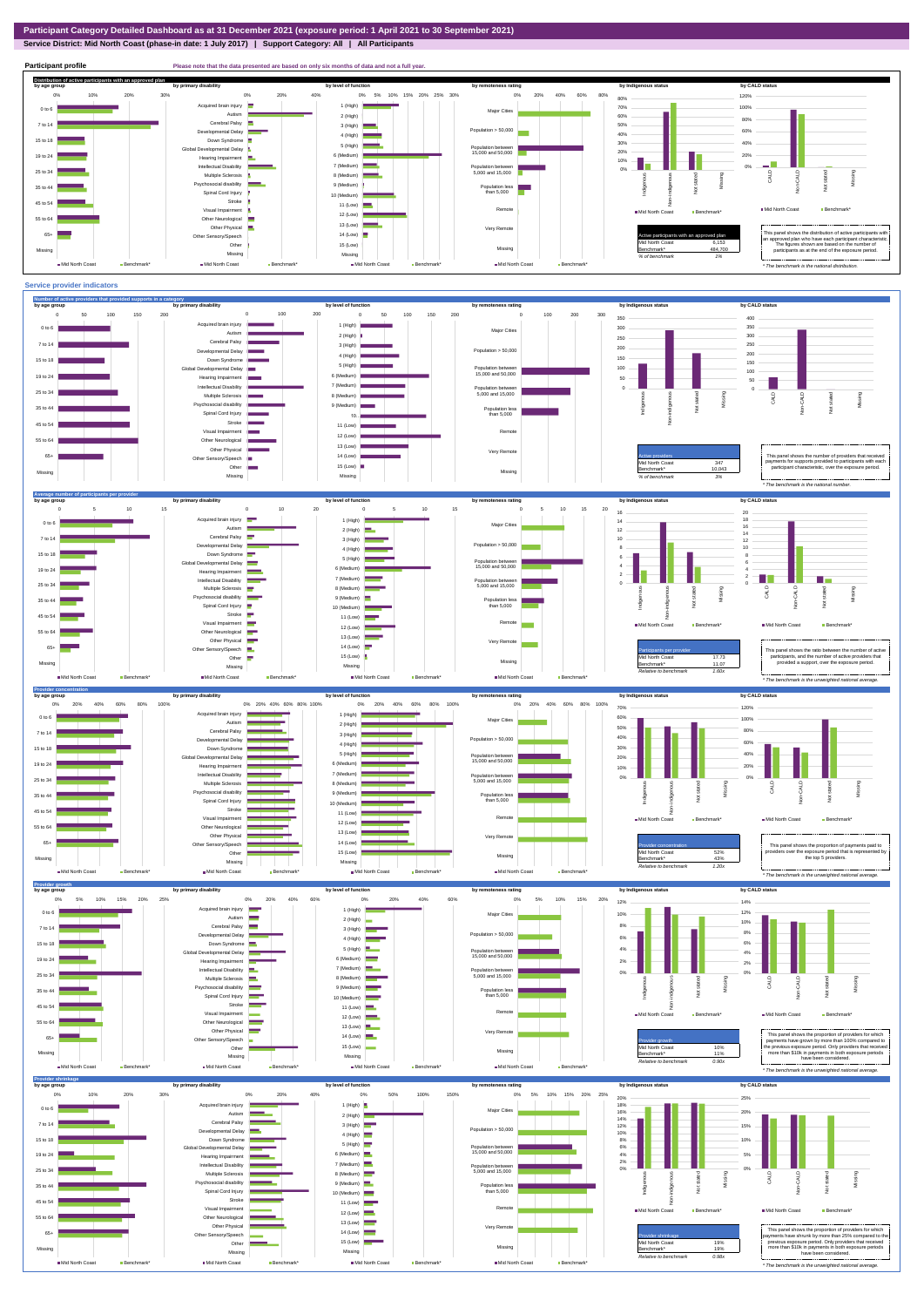**Service District: Mid North Coast (phase-in date: 1 July 2017) | Support Category: All | All Participants**



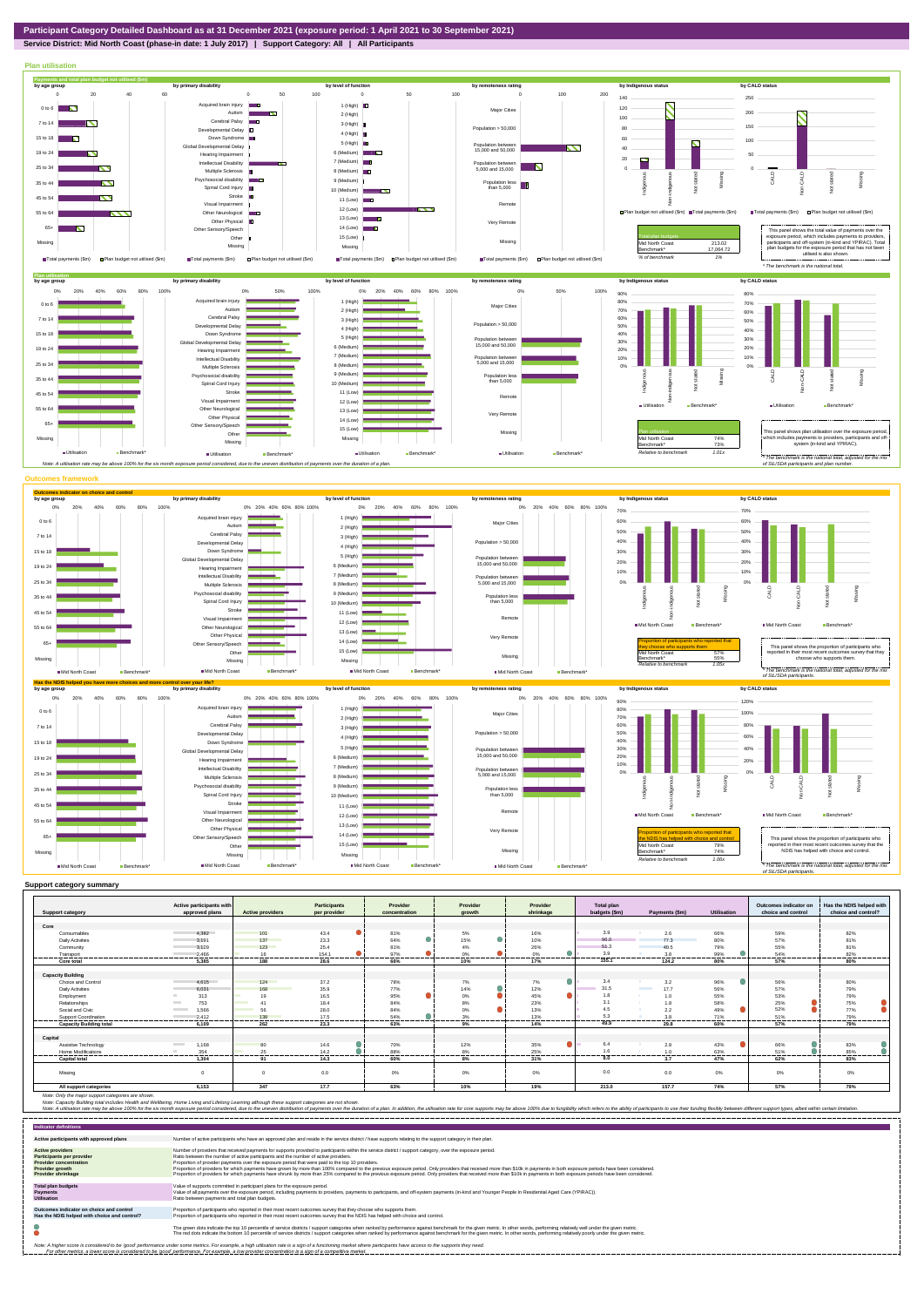## **Service District: Mid North Coast (phase-in date: 1 July 2017) | Support Category: All | All Participants**



| <b>Support category</b>        | Active participants with<br>approved plans | <b>Active providers</b> | Participants<br>per provider | Provider<br>concentration | Provider         | Provider<br>shrinkage | <b>Total plan</b><br>budgets (\$m) | Payments (\$m)                   | Utilisation | Outcomes indicator on<br>choice and control | Has the NDIS helped with<br>choice and control? |
|--------------------------------|--------------------------------------------|-------------------------|------------------------------|---------------------------|------------------|-----------------------|------------------------------------|----------------------------------|-------------|---------------------------------------------|-------------------------------------------------|
|                                |                                            |                         |                              |                           | arowth           |                       |                                    |                                  |             |                                             |                                                 |
| Core                           |                                            |                         |                              |                           |                  |                       |                                    |                                  |             |                                             |                                                 |
| Consumables                    | 4,382                                      | 101                     | 43.4                         | 81%                       | 5%               | 16%                   | 3.9                                | 2.6                              | 66%         | 59%                                         | 82%                                             |
| <b>Daily Activities</b>        | 3.191                                      | 137                     | 23.3                         | $\bullet$<br>64%          | $\bullet$<br>15% | 10%                   | 96.0                               | 77.3                             | 80%         | 57%                                         | 81%                                             |
| Community                      | 3.129                                      | 123                     | 25.4                         | 81%                       | 4%               | 26%                   | 51.3                               | 40.5                             | 79%         | 55%                                         | 81%                                             |
| Transport                      | 2,466                                      | 16                      | 154.1                        | 97%                       | 0%               | 0%                    | 3.9                                | 3.8                              | 99%         | 54%                                         | 82%                                             |
| Core total                     | 5.385                                      | 188                     | 28.6                         | 66%                       | 10%              | 17%                   | 155.1                              | 124.2                            | 80%         | 57%                                         | 80%                                             |
|                                |                                            |                         |                              |                           |                  |                       |                                    |                                  |             |                                             |                                                 |
| <b>Capacity Building</b>       |                                            |                         |                              |                           |                  |                       |                                    |                                  |             |                                             |                                                 |
| Choice and Control             | 4.615                                      | 124                     | 37.2                         | 78%                       | 7%               | о<br>7%               | 3.4                                | 3.2                              | 96%         | 56%                                         | 80%                                             |
| <b>Daily Activities</b>        | 6.031                                      | 168                     | 35.9                         | 77%                       | $\bullet$<br>14% | 12%                   | 31.5                               | <b>Contract Contract</b><br>17.7 | 56%         | 57%                                         | 79%                                             |
| Employment                     | 313                                        | 19                      | 16.5                         | 95%                       | ۰<br>$0\%$       | ∙<br>45%              | 1.8                                | 1.0                              | 55%         | 53%                                         | 79%                                             |
| Relationships                  | 753<br><b>Contract</b>                     | 41                      | 18.4                         | 84%                       | 8%               | 23%                   | 3.1                                | 1.8                              | 58%         | 25%                                         | 75%                                             |
| Social and Civic               | 1.566<br><b>Contract Contract</b>          | 56                      | 28.0                         | 84%                       | ●<br>0%          | 13%                   | 4.5                                | 2.2                              | 49%         | 52%                                         | 77%                                             |
| Support Coordination           | 2.412                                      | 138                     | 17.5                         | 54%                       | 3%               | 13%                   | 5.3                                | 3.8                              | 71%         | 51%<br>------                               | 79%                                             |
| <b>Capacity Building total</b> | 6.109                                      | 262                     | <br>23.3                     | 63%                       | 9%               | 14%                   | 49.9                               | <br>29.8                         | 60%         | 57%                                         | 79%                                             |
|                                |                                            |                         |                              |                           |                  |                       |                                    |                                  |             |                                             |                                                 |
| Capital                        |                                            |                         |                              |                           |                  |                       |                                    |                                  |             |                                             |                                                 |
| Assistive Technology           | <b>Contract Contract</b><br>1,168          | 80                      | 14.6                         | 70%                       | 12%              | 35%                   | 6.4                                | 2.8                              | 43%         | 66%                                         | 83%                                             |
| <b>Home Modifications</b>      | 354<br>                                    | 25<br>-------           | 14.2                         | 88%<br>------             | 8%               | 25%<br>------         |                                    | 1.0<br>---------                 | 63%<br>     | 51%<br>                                     | 85%<br>                                         |
| <b>Capital total</b>           | 1.304                                      | 91                      | 14.3                         | 60%                       | 8%               | 31%                   | 8.0                                | 3.7                              | 47%         | 62%                                         | 83%                                             |
| Missing                        | $\Omega$                                   | $\Omega$                | 0.0                          | 0%                        | 0%               | 0%                    | 0.0                                | 0.0                              | $0\%$       | 0%                                          | 0%                                              |
|                                |                                            |                         |                              |                           |                  |                       |                                    |                                  |             |                                             |                                                 |
| All support categories         | 6,153                                      | 347                     | 17.7                         | 63%                       | 10%              | 19%                   | 213.0                              | 157.7                            | 74%         | 57%                                         | 79%                                             |

Note: Only the major support categories are shown.<br>Note: Capacity Building total individual Wellbeing, Home Living and Lifelong Learning although these support categories are not shown.<br>Note: A utilisation rate may be abov

| <b>Indicator definitions</b>                                                                                                                        |                                                                                                                                                                                                                                                                                                                                                                                                                                                                                                                                                                                                                                                                                                                                                                                                                 |
|-----------------------------------------------------------------------------------------------------------------------------------------------------|-----------------------------------------------------------------------------------------------------------------------------------------------------------------------------------------------------------------------------------------------------------------------------------------------------------------------------------------------------------------------------------------------------------------------------------------------------------------------------------------------------------------------------------------------------------------------------------------------------------------------------------------------------------------------------------------------------------------------------------------------------------------------------------------------------------------|
| Active participants with approved plans                                                                                                             | Number of active participants who have an approved plan and reside in the service district / have supports relating to the support category in their plan.                                                                                                                                                                                                                                                                                                                                                                                                                                                                                                                                                                                                                                                      |
| <b>Active providers</b><br><b>Participants per provider</b><br><b>Provider concentration</b><br><b>Provider growth</b><br><b>Provider shrinkage</b> | Number of providers that received payments for supports provided to participants within the service district / support category, over the exposure period.<br>Ratio between the number of active participants and the number of active providers.<br>Proportion of provider payments over the exposure period that were paid to the top 10 providers.<br>Proportion of providers for which payments have grown by more than 100% compared to the previous exposure period. Only providers that received more than \$10k in payments in both exposure periods have been considered.<br>Proportion of providers for which payments have shrunk by more than 25% compared to the previous exposure period. Only providers that received more than \$10k in payments in both exposure periods have been considered. |
| <b>Total plan budgets</b><br><b>Payments</b><br><b>Utilisation</b>                                                                                  | Value of supports committed in participant plans for the exposure period.<br>Value of all payments over the exposure period, including payments to providers, payments to participants, and off-system payments (in-kind and Younger People In Residential Aged Care (YPIRAC)).<br>Ratio between payments and total plan budgets.                                                                                                                                                                                                                                                                                                                                                                                                                                                                               |
| Outcomes indicator on choice and control<br>Has the NDIS helped with choice and control?                                                            | Proportion of participants who reported in their most recent outcomes survey that they choose who supports them.<br>Proportion of participants who reported in their most recent outcomes survey that the NDIS has helped with choice and control.                                                                                                                                                                                                                                                                                                                                                                                                                                                                                                                                                              |
|                                                                                                                                                     | The green dots indicate the top 10 percentile of service districts / support categories when ranked by performance against benchmark for the given metric. In other words, performing relatively well under the given metric.<br>The red dots indicate the bottom 10 percentile of service districts / support categories when ranked by performance against benchmark for the given metric. In other words, performing relatively poorly under the given metri                                                                                                                                                                                                                                                                                                                                                 |
|                                                                                                                                                     | Note: A higher score is considered to be 'good' performance under some metrics. For example, a high utilisation rate is a sign of a functioning market where participants have access to the supports they need.<br>For other metrics, a lower score is considered to be 'good' performance. For example, a low provider concentration is a sign of a competitive market.                                                                                                                                                                                                                                                                                                                                                                                                                                       |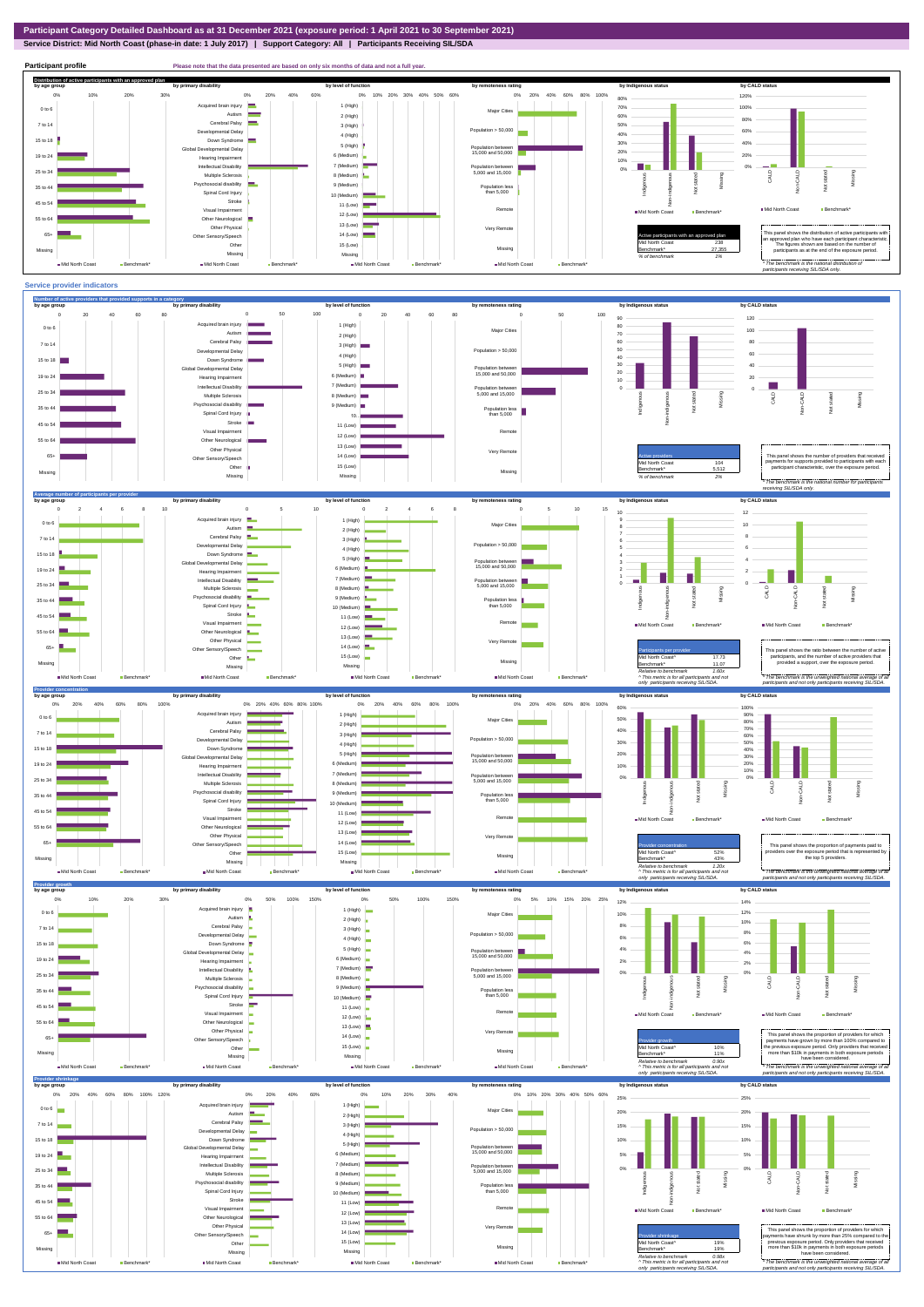$\frac{529}{439}$ Benchmark\* 43% *Relative to benchmark 1.20x ^ This metric is for all participants and not only participants receiving SIL/SDA.*

Provider concentration **This panel shows the proportion of payments paid to** the top 52% and to that is represented by the exposure period that is represented by  $\frac{1}{2}$ <br>Benchmark\* and the top 5 providers. *\* The benchmark is the unweighted national average of all participants and not only participants receiving SIL/SDA.*



Other Sensory/Speech Other Missing  $M$ Mid North Coast Benchmark Benchmark Benchmark Benchmark Benchmark Benchmark Benchmark Benchmark Benchmark Benchmark Benchmark Benchmark Benchmark Benchmark Benchmark Benchmark Benchmark Benchmark Benchmark Benchmark Be



65+ Missing

 $M$ Mid North Coast  $B$ enchmark  $B$ enchmark  $B$ enchmark  $B$ enchmark  $B$ enchmark  $B$ enchmark $B$ enchmark $B$ enchmark  $B$ enchmark  $B$ enchmark  $B$ enchmark  $B$ enchmark  $B$ enchmark  $B$ enchmark  $B$ enchmark  $B$ enchmark  $B$ enchmark

14 (Low) 15 (Low) Missing

H.

Mid North Coast **Benchmark** 

Missing

 $\blacksquare$  Mid North Coast  $\blacksquare$  Ben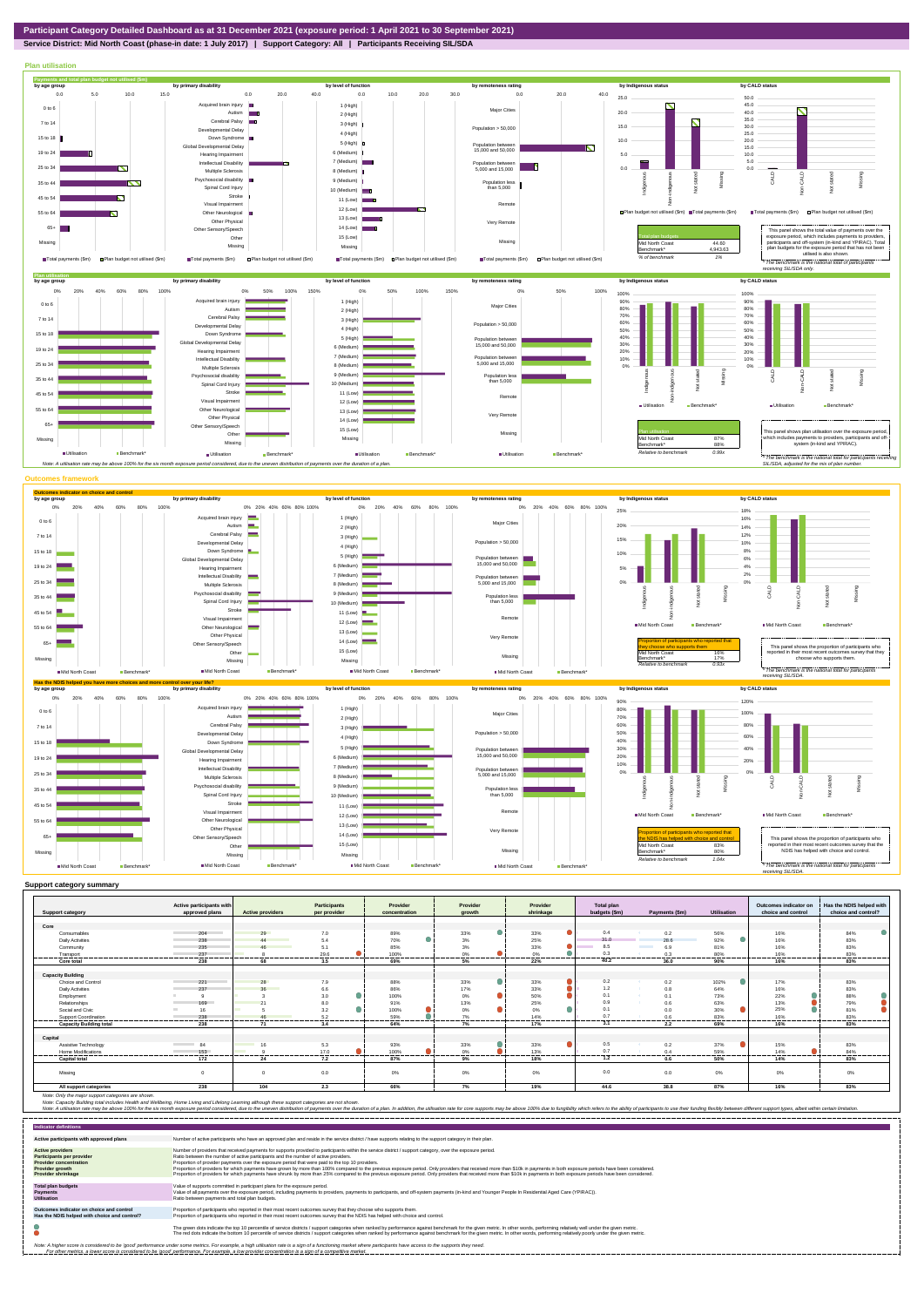

## **Service District: Mid North Coast (phase-in date: 1 July 2017) | Support Category: All | Participants Receiving SIL/SDA**



|  | Support category summary |
|--|--------------------------|
|  |                          |

| <b>Support category</b>        | Active participants with<br>approved plans | <b>Active providers</b> | <b>Participants</b><br>per provider | Provider<br>concentration | Provider<br>growth | Provider<br>shrinkage | <b>Total plan</b><br>budgets (\$m) | Payments (\$m)  | <b>Utilisation</b> | Outcomes indicator on<br>choice and control | Has the NDIS helped with<br>choice and control? |
|--------------------------------|--------------------------------------------|-------------------------|-------------------------------------|---------------------------|--------------------|-----------------------|------------------------------------|-----------------|--------------------|---------------------------------------------|-------------------------------------------------|
|                                |                                            |                         |                                     |                           |                    |                       |                                    |                 |                    |                                             |                                                 |
| Core                           |                                            |                         |                                     |                           |                    |                       |                                    |                 |                    |                                             |                                                 |
| Consumables                    | 204                                        | 29                      | 7.0                                 | 89%                       | ۰<br>33%           | 33%                   | 0.4                                | 0.2             | 56%                | 16%                                         | 84%                                             |
| <b>Daily Activities</b>        | 238                                        | 44                      | 5.4                                 | 70%                       | 3%                 | 25%                   | 31.0                               | 28.6            | 92%                | 16%                                         | 83%                                             |
| Community                      | 235                                        | 46                      | 5.1                                 | 85%                       | 3%                 | 33%                   | 8.5                                | 6.9             | 81%                | 16%                                         | 83%                                             |
| Transport                      | 237                                        |                         | 29.6                                | 100%                      | 0%                 | 0%                    | 0.3                                | 0.3             | 80%                | 16%                                         | 83%                                             |
| Core total                     | 238                                        | 68                      | 3.5                                 | 69%                       | 5%                 | 22%                   | 40.2                               | 36.0            | 90%                | 16%                                         | 83%                                             |
|                                |                                            |                         |                                     |                           |                    |                       |                                    |                 |                    |                                             |                                                 |
| <b>Capacity Building</b>       |                                            |                         |                                     |                           |                    |                       |                                    |                 |                    |                                             |                                                 |
| Choice and Control             | 221                                        | 28                      | 7.9                                 | 88%                       | 0<br>33%           | 33%                   | 0.2                                | 0.2             | 102%               | 17%                                         | 83%                                             |
| <b>Daily Activities</b>        | 237                                        | 36                      | 6.6                                 | 86%                       | 17%                | 33%                   | 1.2                                | 0.8             | 64%                | 16%                                         | 83%                                             |
| Employment                     |                                            |                         | 3.0                                 | 100%                      | ٠<br>0%            | 50%                   | 0.1                                | 0.1<br>- 20     | 73%                | 22%                                         | 88%                                             |
| Relationships                  | 169                                        |                         | 8.0                                 | 91%                       | 13%                | 25%                   | 0.9                                | 0.6             | 63%                | 13%                                         | 79%                                             |
| Social and Civic               | 16                                         |                         | 3.2                                 | 100%                      | ●<br>0%            | 0%                    | 0.1                                | 0.0             | 30%                | 25%                                         | 81%                                             |
| Support Coordination           | 238                                        |                         | 5.2                                 | 59%                       | 7%                 | 14%                   | 0.7                                | 0.6             | 83%                | 16%                                         | 83%                                             |
| <b>Capacity Building total</b> | 238                                        | 71                      | 3.4                                 | 64%                       | 7%                 | 17%                   | 3.1                                | 2.2             | 69%                | 16%                                         | 83%                                             |
|                                |                                            |                         |                                     |                           |                    |                       |                                    |                 |                    |                                             |                                                 |
| Capital                        |                                            |                         |                                     |                           |                    |                       |                                    |                 |                    |                                             |                                                 |
| Assistive Technology           | <b>Contract Contract</b><br>84             | 16                      | 5.3                                 | 93%                       | 33%                | 33%                   | 0.5                                | 0.2             | 37%                | 15%                                         | 83%                                             |
| <b>Home Modifications</b>      | 153<br>                                    |                         | 17.0                                | 100%                      | 0%                 | 13%                   | 0.7<br>---------                   | 0.4<br>-------- | 59%                | 14%                                         | 84%                                             |
| <b>Capital total</b>           | 172                                        | .<br>24                 | .<br>7.2                            | 87%                       | ------<br>9%       | 18%                   | 1.2                                | 0.6             | ------<br>50%      | ------<br>14%                               | -----<br>83%                                    |
|                                |                                            |                         |                                     |                           |                    |                       |                                    |                 |                    |                                             |                                                 |
| Missing                        | $\Omega$                                   |                         | 0.0                                 | 0%                        | 0%                 | 0%                    | 0.0                                | 0.0             | $0\%$              | 0%                                          | 0%                                              |
| All support categories         | 238                                        | 104                     | 2.3                                 | 66%                       | 7%                 | 19%                   | 44.6                               | 38.8            | 87%                | 16%                                         | 83%                                             |

| <b>Indicator definitions</b>                                                                                                                        |                                                                                                                                                                                                                                                                                                                                                                                                                                                                                                                                                                                                                                                                                                                                                                                                                 |
|-----------------------------------------------------------------------------------------------------------------------------------------------------|-----------------------------------------------------------------------------------------------------------------------------------------------------------------------------------------------------------------------------------------------------------------------------------------------------------------------------------------------------------------------------------------------------------------------------------------------------------------------------------------------------------------------------------------------------------------------------------------------------------------------------------------------------------------------------------------------------------------------------------------------------------------------------------------------------------------|
| Active participants with approved plans                                                                                                             | Number of active participants who have an approved plan and reside in the service district / have supports relating to the support category in their plan.                                                                                                                                                                                                                                                                                                                                                                                                                                                                                                                                                                                                                                                      |
| <b>Active providers</b><br><b>Participants per provider</b><br><b>Provider concentration</b><br><b>Provider growth</b><br><b>Provider shrinkage</b> | Number of providers that received payments for supports provided to participants within the service district / support category, over the exposure period.<br>Ratio between the number of active participants and the number of active providers.<br>Proportion of provider payments over the exposure period that were paid to the top 10 providers.<br>Proportion of providers for which payments have grown by more than 100% compared to the previous exposure period. Only providers that received more than \$10k in payments in both exposure periods have been considered.<br>Proportion of providers for which payments have shrunk by more than 25% compared to the previous exposure period. Only providers that received more than \$10k in payments in both exposure periods have been considered. |
| <b>Total plan budgets</b><br><b>Payments</b><br><b>Utilisation</b>                                                                                  | Value of supports committed in participant plans for the exposure period.<br>Value of all payments over the exposure period, including payments to providers, payments to participants, and off-system payments (in-kind and Younger People In Residential Aged Care (YPIRAC)).<br>Ratio between payments and total plan budgets.                                                                                                                                                                                                                                                                                                                                                                                                                                                                               |
| Outcomes indicator on choice and control<br>Has the NDIS helped with choice and control?                                                            | Proportion of participants who reported in their most recent outcomes survey that they choose who supports them.<br>Proportion of participants who reported in their most recent outcomes survey that the NDIS has helped with choice and control.                                                                                                                                                                                                                                                                                                                                                                                                                                                                                                                                                              |
|                                                                                                                                                     | The green dots indicate the top 10 percentile of service districts / support categories when ranked by performance against benchmark for the given metric. In other words, performing relatively well under the given metric.<br>The red dots indicate the bottom 10 percentile of service districts / support categories when ranked by performance against benchmark for the given metric. In other words, performing relatively poorly under the given metri                                                                                                                                                                                                                                                                                                                                                 |
|                                                                                                                                                     | Note: A higher score is considered to be 'good' performance under some metrics. For example, a high utilisation rate is a sign of a functioning market where participants have access to the supports they need.<br>For other metrics, a lower score is considered to be 'good' performance. For example, a low provider concentration is a sign of a competitive market.                                                                                                                                                                                                                                                                                                                                                                                                                                       |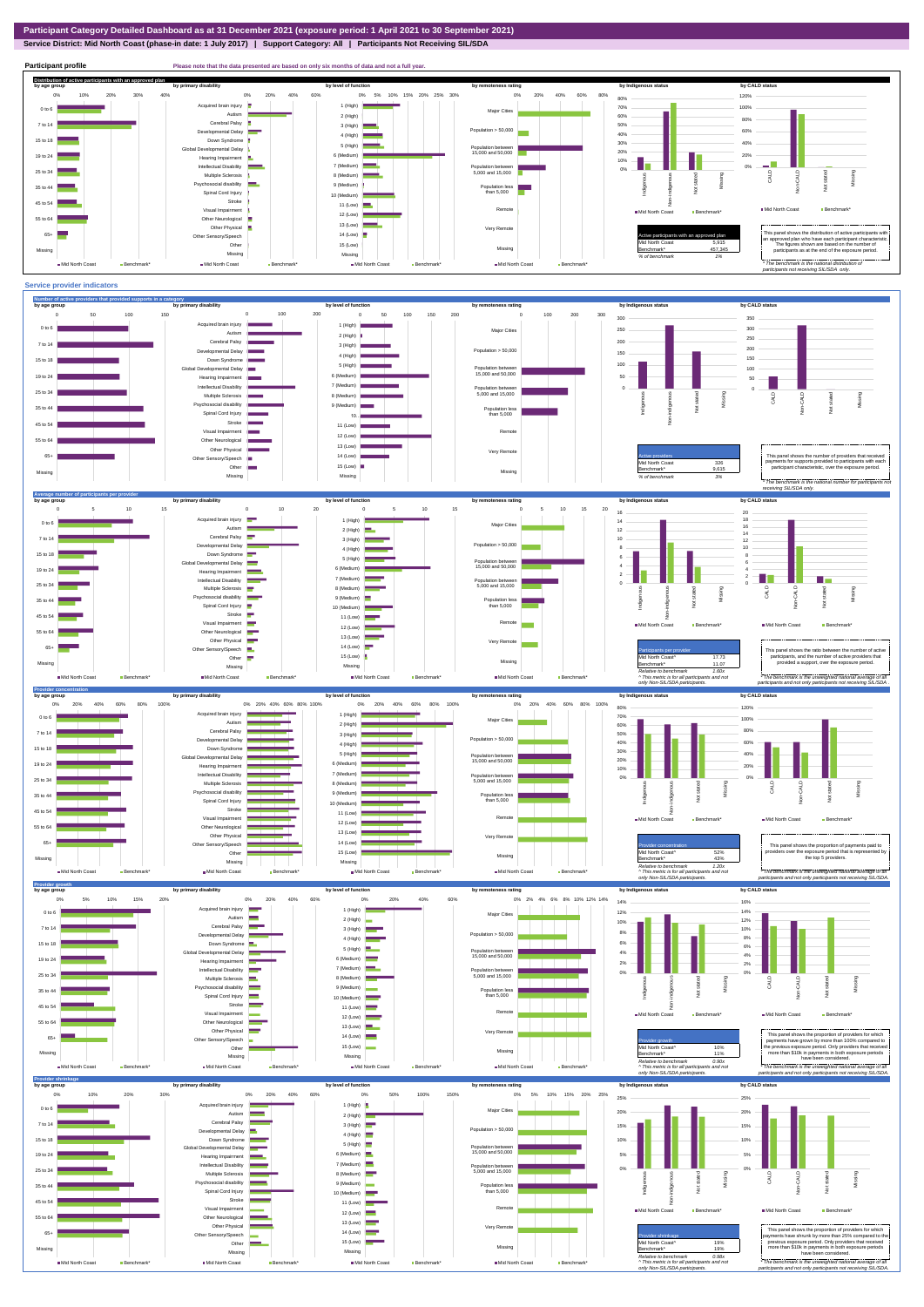## **Service District: Mid North Coast (phase-in date: 1 July 2017) | Support Category: All | Participants Not Receiving SIL/SDA**

**Participant profile Please note that the data presented are based on only six months of data and not a full year. Distribution of active participants with an approved plan** by age group by primary disability by remoteness rating by hdigenous status by CALD status 0% 20% 40% 60% 0% 5% 10% 15% 20% 25% 30% 0% 20% 40% 60% 80% 120% 0% 10% 20% 30% 40% 80% ed brain injury 1 (High)  $\blacksquare$ 70% 100% 0 to 6 Major Cities Autism 2 (High) 60% 80% Cerebral Palsy 7 to 14 50% 3 (High)  $\overline{\phantom{a}}$ ental Delay Population > 50,000 60% **The Second Service** 40% 4 (High) **1200**  $15 \text{ to } 18$ Down Syndrome 30% 40% 5 (High) evelopmental Delay Population between 15,000 and 50,000 20% 6 (Medium) 20% 19 to 24 Hearing Impairment 10% T  $\sim$   $\sim$ 7 (Medium) Intellectual Disability 0% Population between 5,000 and 15,000 0% 25 to 34 CALD Non-CALD Missing Multiple Sclerosis 8 (Medium) tengus Non-indigenous **Cial disability** Missing 9 (Medium) ndigen 35 to 44 Population less than 5,000 nstated in 1916.<br>Note  $\overline{9}$ Spinal Cord Injury Ť 10 (Medium) Stroke 45 to 54 Ă 11 (Low) Mid North Coast Benchmark Visual Impairment Remot Mid North Coast Benchmark\* 12 (Low) Other Neurological 55 to 64 13 (Low) Other Physical ÷ Very Remote Active participants with an approved plan This panel shows the distribution of active participants with an approved plan who have each participant characteristic.  $65+$ Sensory/Speech 14 (Low) Other 15 (Low) Mid North Coast 5,915 The figures shown are based on the number of participants as at the end of the exposure period. Missing 457,345 Missing Missing Missing *% of benchmark 1% The benchmark is the nation participants not receiving SIL/SDA only.* Mid North Coast Benchmark Mid North Coast Benchmark Mid North Coast Benchmark Mid North Coast Benchmark